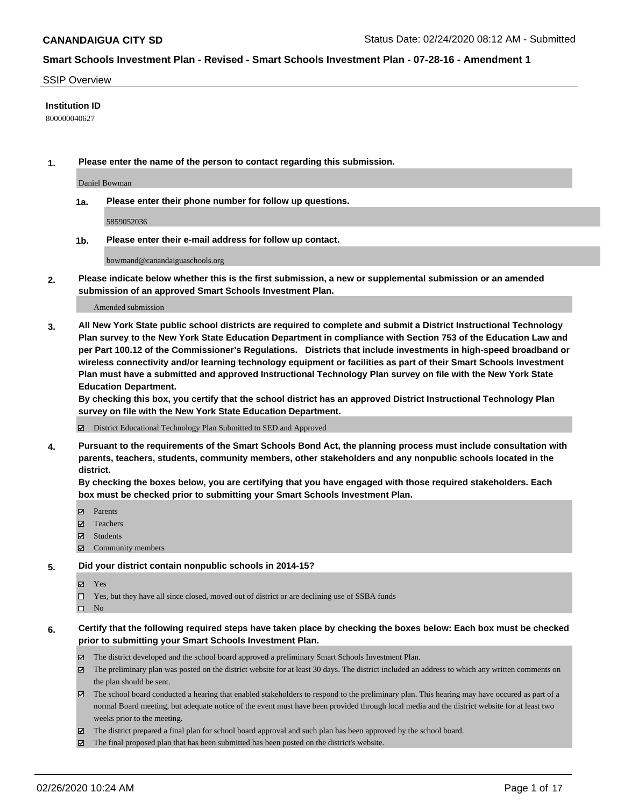#### SSIP Overview

## **Institution ID**

800000040627

**1. Please enter the name of the person to contact regarding this submission.**

Daniel Bowman

**1a. Please enter their phone number for follow up questions.**

5859052036

**1b. Please enter their e-mail address for follow up contact.**

bowmand@canandaiguaschools.org

**2. Please indicate below whether this is the first submission, a new or supplemental submission or an amended submission of an approved Smart Schools Investment Plan.**

#### Amended submission

**3. All New York State public school districts are required to complete and submit a District Instructional Technology Plan survey to the New York State Education Department in compliance with Section 753 of the Education Law and per Part 100.12 of the Commissioner's Regulations. Districts that include investments in high-speed broadband or wireless connectivity and/or learning technology equipment or facilities as part of their Smart Schools Investment Plan must have a submitted and approved Instructional Technology Plan survey on file with the New York State Education Department.** 

**By checking this box, you certify that the school district has an approved District Instructional Technology Plan survey on file with the New York State Education Department.**

District Educational Technology Plan Submitted to SED and Approved

**4. Pursuant to the requirements of the Smart Schools Bond Act, the planning process must include consultation with parents, teachers, students, community members, other stakeholders and any nonpublic schools located in the district.** 

**By checking the boxes below, you are certifying that you have engaged with those required stakeholders. Each box must be checked prior to submitting your Smart Schools Investment Plan.**

- **マ** Parents
- Teachers
- Students
- Community members

#### **5. Did your district contain nonpublic schools in 2014-15?**

**冈** Yes

Yes, but they have all since closed, moved out of district or are declining use of SSBA funds

 $\square$  No

- **6. Certify that the following required steps have taken place by checking the boxes below: Each box must be checked prior to submitting your Smart Schools Investment Plan.**
	- The district developed and the school board approved a preliminary Smart Schools Investment Plan.
	- $\boxtimes$  The preliminary plan was posted on the district website for at least 30 days. The district included an address to which any written comments on the plan should be sent.
	- $\boxtimes$  The school board conducted a hearing that enabled stakeholders to respond to the preliminary plan. This hearing may have occured as part of a normal Board meeting, but adequate notice of the event must have been provided through local media and the district website for at least two weeks prior to the meeting.
	- The district prepared a final plan for school board approval and such plan has been approved by the school board.
	- The final proposed plan that has been submitted has been posted on the district's website.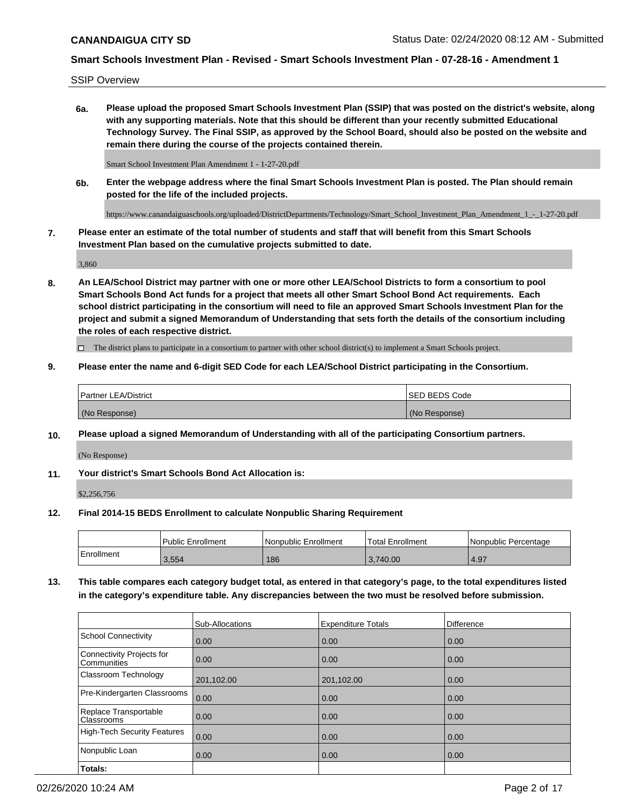SSIP Overview

**6a. Please upload the proposed Smart Schools Investment Plan (SSIP) that was posted on the district's website, along with any supporting materials. Note that this should be different than your recently submitted Educational Technology Survey. The Final SSIP, as approved by the School Board, should also be posted on the website and remain there during the course of the projects contained therein.**

Smart School Investment Plan Amendment 1 - 1-27-20.pdf

**6b. Enter the webpage address where the final Smart Schools Investment Plan is posted. The Plan should remain posted for the life of the included projects.**

https://www.canandaiguaschools.org/uploaded/DistrictDepartments/Technology/Smart\_School\_Investment\_Plan\_Amendment\_1\_-\_1-27-20.pdf

**7. Please enter an estimate of the total number of students and staff that will benefit from this Smart Schools Investment Plan based on the cumulative projects submitted to date.**

3,860

**8. An LEA/School District may partner with one or more other LEA/School Districts to form a consortium to pool Smart Schools Bond Act funds for a project that meets all other Smart School Bond Act requirements. Each school district participating in the consortium will need to file an approved Smart Schools Investment Plan for the project and submit a signed Memorandum of Understanding that sets forth the details of the consortium including the roles of each respective district.**

 $\Box$  The district plans to participate in a consortium to partner with other school district(s) to implement a Smart Schools project.

## **9. Please enter the name and 6-digit SED Code for each LEA/School District participating in the Consortium.**

| Partner LEA/District | <b>ISED BEDS Code</b> |
|----------------------|-----------------------|
| (No Response)        | (No Response)         |

## **10. Please upload a signed Memorandum of Understanding with all of the participating Consortium partners.**

(No Response)

#### **11. Your district's Smart Schools Bond Act Allocation is:**

\$2,256,756

#### **12. Final 2014-15 BEDS Enrollment to calculate Nonpublic Sharing Requirement**

|            | Public Enrollment | Nonpublic Enrollment | Total Enrollment | l Nonpublic Percentage |
|------------|-------------------|----------------------|------------------|------------------------|
| Enrollment | 3,554             | 186                  | 3,740.00         | 4.97                   |

**13. This table compares each category budget total, as entered in that category's page, to the total expenditures listed in the category's expenditure table. Any discrepancies between the two must be resolved before submission.**

|                                          | Sub-Allocations | <b>Expenditure Totals</b> | <b>Difference</b> |
|------------------------------------------|-----------------|---------------------------|-------------------|
| <b>School Connectivity</b>               | 0.00            | 0.00                      | 0.00              |
| Connectivity Projects for<br>Communities | 0.00            | 0.00                      | 0.00              |
| Classroom Technology                     | 201,102.00      | 201,102.00                | 0.00              |
| Pre-Kindergarten Classrooms              | 0.00            | 0.00                      | 0.00              |
| Replace Transportable<br>Classrooms      | 0.00            | 0.00                      | 0.00              |
| <b>High-Tech Security Features</b>       | 0.00            | 0.00                      | 0.00              |
| Nonpublic Loan                           | 0.00            | 0.00                      | 0.00              |
| Totals:                                  |                 |                           |                   |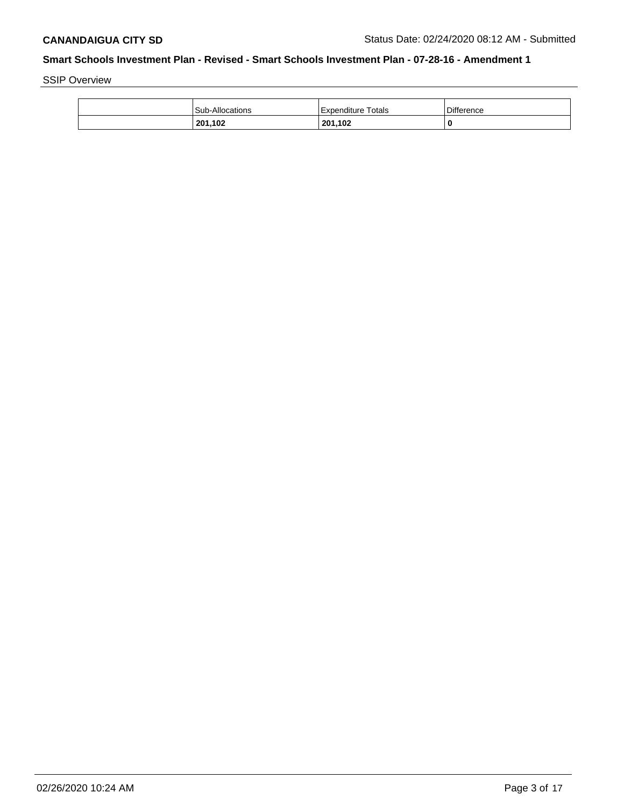SSIP Overview

| <b>Sub-Allocations</b> | Expenditure Totals | <b>Difference</b> |
|------------------------|--------------------|-------------------|
| 201,102                | 201,102            | 0                 |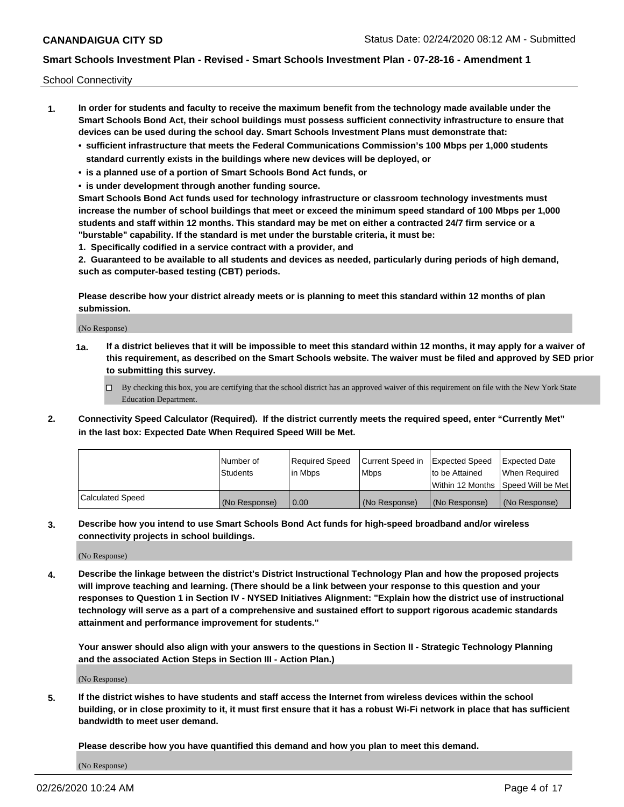School Connectivity

- **1. In order for students and faculty to receive the maximum benefit from the technology made available under the Smart Schools Bond Act, their school buildings must possess sufficient connectivity infrastructure to ensure that devices can be used during the school day. Smart Schools Investment Plans must demonstrate that:**
	- **• sufficient infrastructure that meets the Federal Communications Commission's 100 Mbps per 1,000 students standard currently exists in the buildings where new devices will be deployed, or**
	- **• is a planned use of a portion of Smart Schools Bond Act funds, or**
	- **• is under development through another funding source.**

**Smart Schools Bond Act funds used for technology infrastructure or classroom technology investments must increase the number of school buildings that meet or exceed the minimum speed standard of 100 Mbps per 1,000 students and staff within 12 months. This standard may be met on either a contracted 24/7 firm service or a "burstable" capability. If the standard is met under the burstable criteria, it must be:**

**1. Specifically codified in a service contract with a provider, and**

**2. Guaranteed to be available to all students and devices as needed, particularly during periods of high demand, such as computer-based testing (CBT) periods.**

**Please describe how your district already meets or is planning to meet this standard within 12 months of plan submission.**

(No Response)

**1a. If a district believes that it will be impossible to meet this standard within 12 months, it may apply for a waiver of this requirement, as described on the Smart Schools website. The waiver must be filed and approved by SED prior to submitting this survey.**

 $\Box$  By checking this box, you are certifying that the school district has an approved waiver of this requirement on file with the New York State Education Department.

**2. Connectivity Speed Calculator (Required). If the district currently meets the required speed, enter "Currently Met" in the last box: Expected Date When Required Speed Will be Met.**

|                  | l Number of     | Required Speed | Current Speed in | Expected Speed | Expected Date                           |
|------------------|-----------------|----------------|------------------|----------------|-----------------------------------------|
|                  | <b>Students</b> | In Mbps        | l Mbps           | to be Attained | When Required                           |
|                  |                 |                |                  |                | l Within 12 Months ISpeed Will be Met l |
| Calculated Speed | (No Response)   | 0.00           | (No Response)    | (No Response)  | (No Response)                           |

**3. Describe how you intend to use Smart Schools Bond Act funds for high-speed broadband and/or wireless connectivity projects in school buildings.**

(No Response)

**4. Describe the linkage between the district's District Instructional Technology Plan and how the proposed projects will improve teaching and learning. (There should be a link between your response to this question and your responses to Question 1 in Section IV - NYSED Initiatives Alignment: "Explain how the district use of instructional technology will serve as a part of a comprehensive and sustained effort to support rigorous academic standards attainment and performance improvement for students."** 

**Your answer should also align with your answers to the questions in Section II - Strategic Technology Planning and the associated Action Steps in Section III - Action Plan.)**

(No Response)

**5. If the district wishes to have students and staff access the Internet from wireless devices within the school building, or in close proximity to it, it must first ensure that it has a robust Wi-Fi network in place that has sufficient bandwidth to meet user demand.**

**Please describe how you have quantified this demand and how you plan to meet this demand.**

(No Response)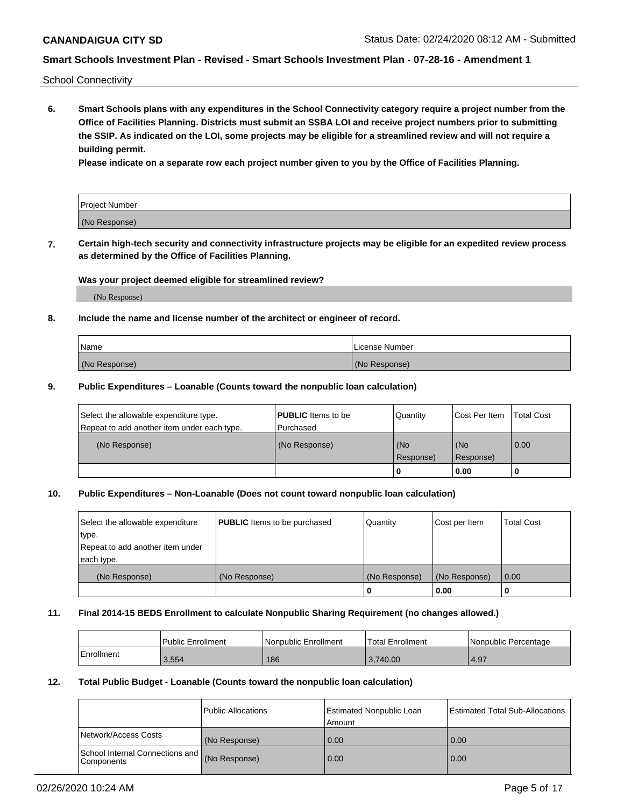School Connectivity

**6. Smart Schools plans with any expenditures in the School Connectivity category require a project number from the Office of Facilities Planning. Districts must submit an SSBA LOI and receive project numbers prior to submitting the SSIP. As indicated on the LOI, some projects may be eligible for a streamlined review and will not require a building permit.**

**Please indicate on a separate row each project number given to you by the Office of Facilities Planning.**

| Project Number |  |
|----------------|--|
| (No Response)  |  |

**7. Certain high-tech security and connectivity infrastructure projects may be eligible for an expedited review process as determined by the Office of Facilities Planning.**

#### **Was your project deemed eligible for streamlined review?**

(No Response)

## **8. Include the name and license number of the architect or engineer of record.**

| Name          | License Number |
|---------------|----------------|
| (No Response) | (No Response)  |

#### **9. Public Expenditures – Loanable (Counts toward the nonpublic loan calculation)**

| Select the allowable expenditure type.<br>Repeat to add another item under each type. | <b>PUBLIC</b> Items to be<br>l Purchased | Quantity           | Cost Per Item    | <b>Total Cost</b> |
|---------------------------------------------------------------------------------------|------------------------------------------|--------------------|------------------|-------------------|
| (No Response)                                                                         | (No Response)                            | l (No<br>Response) | (No<br>Response) | $\overline{0.00}$ |
|                                                                                       |                                          | 0                  | 0.00             |                   |

## **10. Public Expenditures – Non-Loanable (Does not count toward nonpublic loan calculation)**

| Select the allowable expenditure<br>type.<br>Repeat to add another item under<br>each type. | <b>PUBLIC</b> Items to be purchased | Quantity      | Cost per Item | <b>Total Cost</b> |
|---------------------------------------------------------------------------------------------|-------------------------------------|---------------|---------------|-------------------|
| (No Response)                                                                               | (No Response)                       | (No Response) | (No Response) | 0.00              |
|                                                                                             |                                     |               | 0.00          |                   |

#### **11. Final 2014-15 BEDS Enrollment to calculate Nonpublic Sharing Requirement (no changes allowed.)**

|            | Public Enrollment | Nonpublic Enrollment | 'Total Enrollment | l Nonpublic Percentage |
|------------|-------------------|----------------------|-------------------|------------------------|
| Enrollment | 3,554             | 186                  | 3.740.00          | 4.97                   |

## **12. Total Public Budget - Loanable (Counts toward the nonpublic loan calculation)**

|                                                      | Public Allocations | <b>Estimated Nonpublic Loan</b><br>Amount | Estimated Total Sub-Allocations |
|------------------------------------------------------|--------------------|-------------------------------------------|---------------------------------|
| Network/Access Costs                                 | (No Response)      | 0.00                                      | 0.00                            |
| School Internal Connections and<br><b>Components</b> | (No Response)      | 0.00                                      | 0.00                            |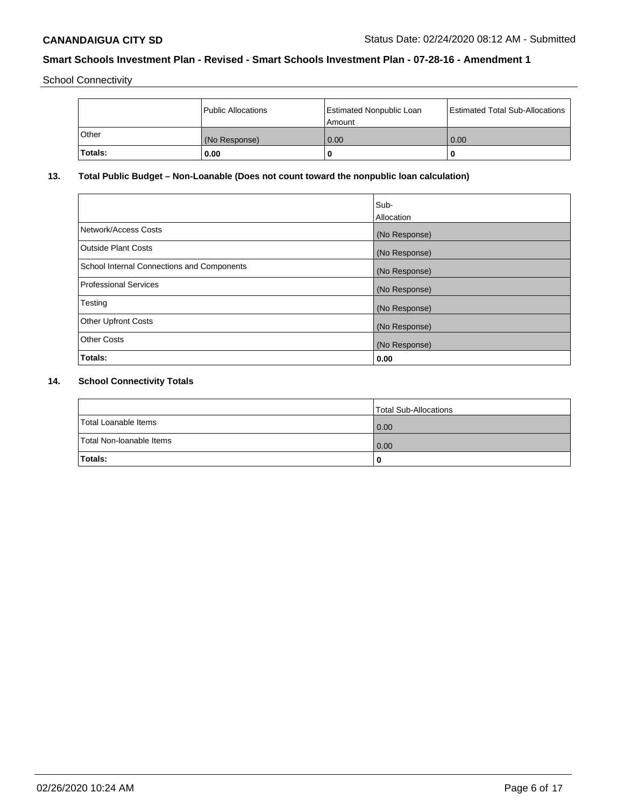School Connectivity

|                | Public Allocations | <b>Estimated Nonpublic Loan</b><br>l Amount | <b>Estimated Total Sub-Allocations</b> |
|----------------|--------------------|---------------------------------------------|----------------------------------------|
| l Other        | (No Response)      | 0.00                                        | 0.00                                   |
| <b>Totals:</b> | 0.00               | 0                                           |                                        |

## **13. Total Public Budget – Non-Loanable (Does not count toward the nonpublic loan calculation)**

|                                                   | Sub-<br>Allocation |
|---------------------------------------------------|--------------------|
| Network/Access Costs                              | (No Response)      |
| <b>Outside Plant Costs</b>                        | (No Response)      |
| <b>School Internal Connections and Components</b> | (No Response)      |
| Professional Services                             | (No Response)      |
| Testing                                           | (No Response)      |
| <b>Other Upfront Costs</b>                        | (No Response)      |
| <b>Other Costs</b>                                | (No Response)      |
| <b>Totals:</b>                                    | 0.00               |

# **14. School Connectivity Totals**

|                          | Total Sub-Allocations |
|--------------------------|-----------------------|
| Total Loanable Items     | 0.00                  |
| Total Non-Ioanable Items | 0.00                  |
| Totals:                  | 0                     |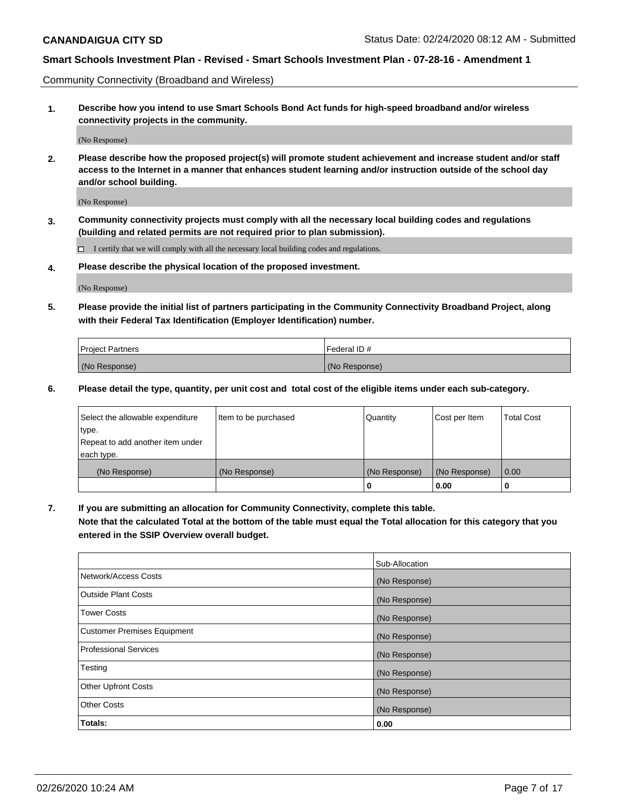Community Connectivity (Broadband and Wireless)

**1. Describe how you intend to use Smart Schools Bond Act funds for high-speed broadband and/or wireless connectivity projects in the community.**

(No Response)

**2. Please describe how the proposed project(s) will promote student achievement and increase student and/or staff access to the Internet in a manner that enhances student learning and/or instruction outside of the school day and/or school building.**

(No Response)

**3. Community connectivity projects must comply with all the necessary local building codes and regulations (building and related permits are not required prior to plan submission).**

 $\Box$  I certify that we will comply with all the necessary local building codes and regulations.

**4. Please describe the physical location of the proposed investment.**

(No Response)

**5. Please provide the initial list of partners participating in the Community Connectivity Broadband Project, along with their Federal Tax Identification (Employer Identification) number.**

| <b>Project Partners</b> | l Federal ID # |
|-------------------------|----------------|
| (No Response)           | (No Response)  |

**6. Please detail the type, quantity, per unit cost and total cost of the eligible items under each sub-category.**

| Select the allowable expenditure | Item to be purchased | Quantity      | Cost per Item | <b>Total Cost</b> |
|----------------------------------|----------------------|---------------|---------------|-------------------|
| type.                            |                      |               |               |                   |
| Repeat to add another item under |                      |               |               |                   |
| each type.                       |                      |               |               |                   |
| (No Response)                    | (No Response)        | (No Response) | (No Response) | 0.00              |
|                                  |                      | U             | 0.00          |                   |

**7. If you are submitting an allocation for Community Connectivity, complete this table.**

**Note that the calculated Total at the bottom of the table must equal the Total allocation for this category that you entered in the SSIP Overview overall budget.**

|                                    | Sub-Allocation |
|------------------------------------|----------------|
| Network/Access Costs               | (No Response)  |
| <b>Outside Plant Costs</b>         | (No Response)  |
| <b>Tower Costs</b>                 | (No Response)  |
| <b>Customer Premises Equipment</b> | (No Response)  |
| <b>Professional Services</b>       | (No Response)  |
| Testing                            | (No Response)  |
| <b>Other Upfront Costs</b>         | (No Response)  |
| <b>Other Costs</b>                 | (No Response)  |
| Totals:                            | 0.00           |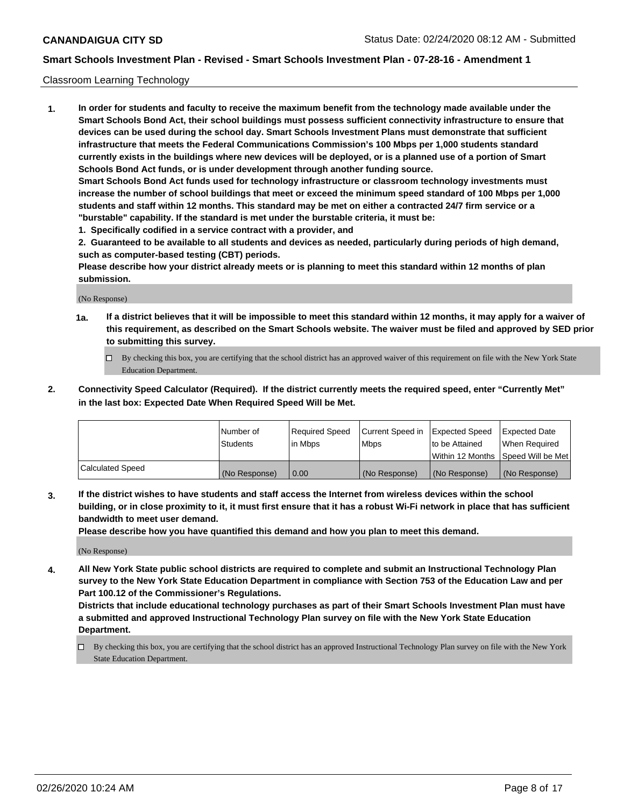#### Classroom Learning Technology

**1. In order for students and faculty to receive the maximum benefit from the technology made available under the Smart Schools Bond Act, their school buildings must possess sufficient connectivity infrastructure to ensure that devices can be used during the school day. Smart Schools Investment Plans must demonstrate that sufficient infrastructure that meets the Federal Communications Commission's 100 Mbps per 1,000 students standard currently exists in the buildings where new devices will be deployed, or is a planned use of a portion of Smart Schools Bond Act funds, or is under development through another funding source. Smart Schools Bond Act funds used for technology infrastructure or classroom technology investments must increase the number of school buildings that meet or exceed the minimum speed standard of 100 Mbps per 1,000 students and staff within 12 months. This standard may be met on either a contracted 24/7 firm service or a "burstable" capability. If the standard is met under the burstable criteria, it must be:**

**1. Specifically codified in a service contract with a provider, and**

**2. Guaranteed to be available to all students and devices as needed, particularly during periods of high demand, such as computer-based testing (CBT) periods.**

**Please describe how your district already meets or is planning to meet this standard within 12 months of plan submission.**

(No Response)

- **1a. If a district believes that it will be impossible to meet this standard within 12 months, it may apply for a waiver of this requirement, as described on the Smart Schools website. The waiver must be filed and approved by SED prior to submitting this survey.**
	- By checking this box, you are certifying that the school district has an approved waiver of this requirement on file with the New York State Education Department.
- **2. Connectivity Speed Calculator (Required). If the district currently meets the required speed, enter "Currently Met" in the last box: Expected Date When Required Speed Will be Met.**

|                  | l Number of     | Required Speed | Current Speed in | <b>Expected Speed</b> | <b>Expected Date</b>                |
|------------------|-----------------|----------------|------------------|-----------------------|-------------------------------------|
|                  | <b>Students</b> | l in Mbps      | l Mbps           | to be Attained        | When Required                       |
|                  |                 |                |                  |                       | Within 12 Months  Speed Will be Met |
| Calculated Speed | (No Response)   | 0.00           | (No Response)    | l (No Response)       | (No Response)                       |

**3. If the district wishes to have students and staff access the Internet from wireless devices within the school building, or in close proximity to it, it must first ensure that it has a robust Wi-Fi network in place that has sufficient bandwidth to meet user demand.**

**Please describe how you have quantified this demand and how you plan to meet this demand.**

(No Response)

**4. All New York State public school districts are required to complete and submit an Instructional Technology Plan survey to the New York State Education Department in compliance with Section 753 of the Education Law and per Part 100.12 of the Commissioner's Regulations.**

**Districts that include educational technology purchases as part of their Smart Schools Investment Plan must have a submitted and approved Instructional Technology Plan survey on file with the New York State Education Department.**

By checking this box, you are certifying that the school district has an approved Instructional Technology Plan survey on file with the New York State Education Department.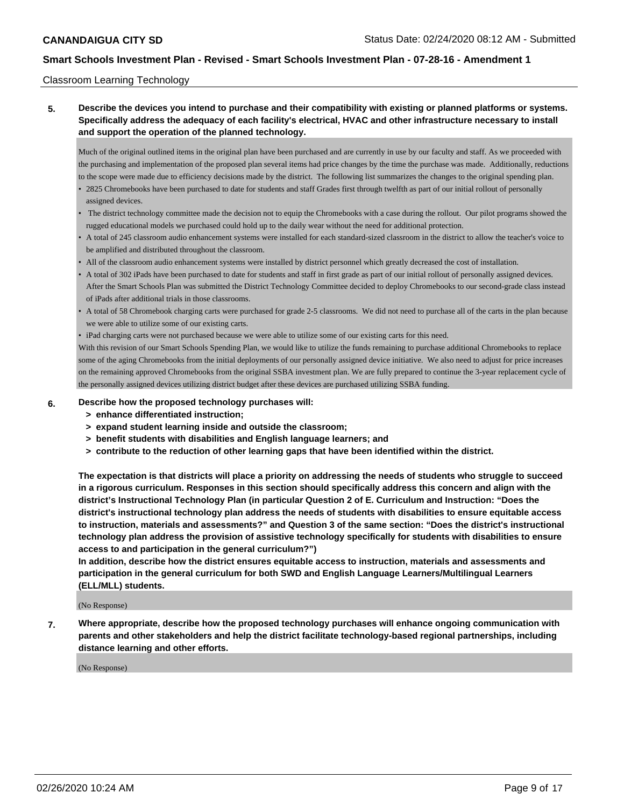#### Classroom Learning Technology

## **5. Describe the devices you intend to purchase and their compatibility with existing or planned platforms or systems. Specifically address the adequacy of each facility's electrical, HVAC and other infrastructure necessary to install and support the operation of the planned technology.**

Much of the original outlined items in the original plan have been purchased and are currently in use by our faculty and staff. As we proceeded with the purchasing and implementation of the proposed plan several items had price changes by the time the purchase was made. Additionally, reductions to the scope were made due to efficiency decisions made by the district. The following list summarizes the changes to the original spending plan.

- 2825 Chromebooks have been purchased to date for students and staff Grades first through twelfth as part of our initial rollout of personally assigned devices.
- The district technology committee made the decision not to equip the Chromebooks with a case during the rollout. Our pilot programs showed the rugged educational models we purchased could hold up to the daily wear without the need for additional protection.
- A total of 245 classroom audio enhancement systems were installed for each standard-sized classroom in the district to allow the teacher's voice to be amplified and distributed throughout the classroom.
- All of the classroom audio enhancement systems were installed by district personnel which greatly decreased the cost of installation.
- A total of 302 iPads have been purchased to date for students and staff in first grade as part of our initial rollout of personally assigned devices. After the Smart Schools Plan was submitted the District Technology Committee decided to deploy Chromebooks to our second-grade class instead of iPads after additional trials in those classrooms.
- A total of 58 Chromebook charging carts were purchased for grade 2-5 classrooms. We did not need to purchase all of the carts in the plan because we were able to utilize some of our existing carts.
- iPad charging carts were not purchased because we were able to utilize some of our existing carts for this need.

With this revision of our Smart Schools Spending Plan, we would like to utilize the funds remaining to purchase additional Chromebooks to replace some of the aging Chromebooks from the initial deployments of our personally assigned device initiative. We also need to adjust for price increases on the remaining approved Chromebooks from the original SSBA investment plan. We are fully prepared to continue the 3-year replacement cycle of the personally assigned devices utilizing district budget after these devices are purchased utilizing SSBA funding.

- 
- **6. Describe how the proposed technology purchases will:**
	- **> enhance differentiated instruction;**
	- **> expand student learning inside and outside the classroom;**
	- **> benefit students with disabilities and English language learners; and**
	- **> contribute to the reduction of other learning gaps that have been identified within the district.**

**The expectation is that districts will place a priority on addressing the needs of students who struggle to succeed in a rigorous curriculum. Responses in this section should specifically address this concern and align with the district's Instructional Technology Plan (in particular Question 2 of E. Curriculum and Instruction: "Does the district's instructional technology plan address the needs of students with disabilities to ensure equitable access to instruction, materials and assessments?" and Question 3 of the same section: "Does the district's instructional technology plan address the provision of assistive technology specifically for students with disabilities to ensure access to and participation in the general curriculum?")**

**In addition, describe how the district ensures equitable access to instruction, materials and assessments and participation in the general curriculum for both SWD and English Language Learners/Multilingual Learners (ELL/MLL) students.**

(No Response)

**7. Where appropriate, describe how the proposed technology purchases will enhance ongoing communication with parents and other stakeholders and help the district facilitate technology-based regional partnerships, including distance learning and other efforts.**

(No Response)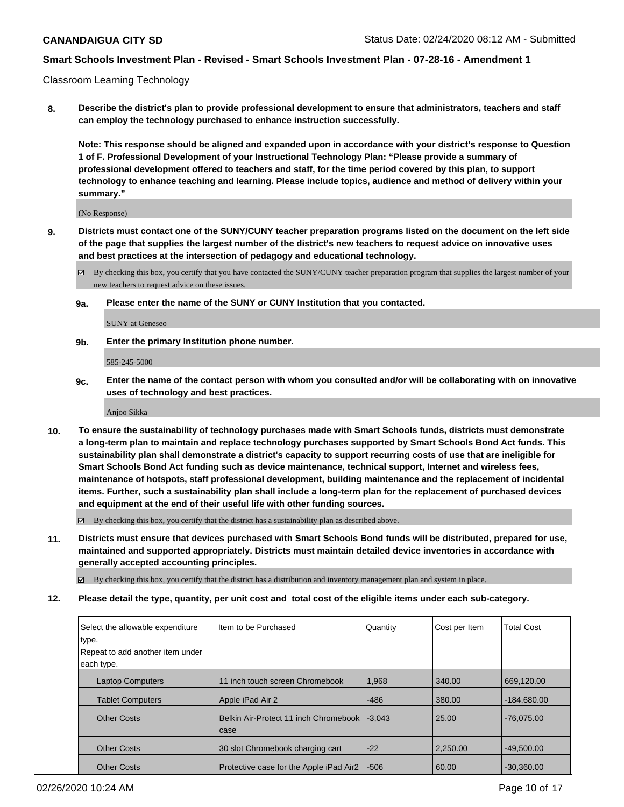Classroom Learning Technology

**8. Describe the district's plan to provide professional development to ensure that administrators, teachers and staff can employ the technology purchased to enhance instruction successfully.**

**Note: This response should be aligned and expanded upon in accordance with your district's response to Question 1 of F. Professional Development of your Instructional Technology Plan: "Please provide a summary of professional development offered to teachers and staff, for the time period covered by this plan, to support technology to enhance teaching and learning. Please include topics, audience and method of delivery within your summary."**

(No Response)

- **9. Districts must contact one of the SUNY/CUNY teacher preparation programs listed on the document on the left side of the page that supplies the largest number of the district's new teachers to request advice on innovative uses and best practices at the intersection of pedagogy and educational technology.**
	- By checking this box, you certify that you have contacted the SUNY/CUNY teacher preparation program that supplies the largest number of your new teachers to request advice on these issues.
	- **9a. Please enter the name of the SUNY or CUNY Institution that you contacted.**

SUNY at Geneseo

**9b. Enter the primary Institution phone number.**

585-245-5000

**9c. Enter the name of the contact person with whom you consulted and/or will be collaborating with on innovative uses of technology and best practices.**

Anjoo Sikka

**10. To ensure the sustainability of technology purchases made with Smart Schools funds, districts must demonstrate a long-term plan to maintain and replace technology purchases supported by Smart Schools Bond Act funds. This sustainability plan shall demonstrate a district's capacity to support recurring costs of use that are ineligible for Smart Schools Bond Act funding such as device maintenance, technical support, Internet and wireless fees, maintenance of hotspots, staff professional development, building maintenance and the replacement of incidental items. Further, such a sustainability plan shall include a long-term plan for the replacement of purchased devices and equipment at the end of their useful life with other funding sources.**

 $\boxtimes$  By checking this box, you certify that the district has a sustainability plan as described above.

**11. Districts must ensure that devices purchased with Smart Schools Bond funds will be distributed, prepared for use, maintained and supported appropriately. Districts must maintain detailed device inventories in accordance with generally accepted accounting principles.**

By checking this box, you certify that the district has a distribution and inventory management plan and system in place.

**12. Please detail the type, quantity, per unit cost and total cost of the eligible items under each sub-category.**

| Select the allowable expenditure<br>type.<br>Repeat to add another item under<br>each type. | Item to be Purchased                          | Quantity | Cost per Item | <b>Total Cost</b> |
|---------------------------------------------------------------------------------------------|-----------------------------------------------|----------|---------------|-------------------|
|                                                                                             |                                               |          |               |                   |
| <b>Laptop Computers</b>                                                                     | 11 inch touch screen Chromebook               | 1,968    | 340.00        | 669,120.00        |
| <b>Tablet Computers</b>                                                                     | Apple iPad Air 2                              | $-486$   | 380.00        | $-184,680.00$     |
| <b>Other Costs</b>                                                                          | Belkin Air-Protect 11 inch Chromebook<br>case | $-3.043$ | 25.00         | $-76.075.00$      |
| <b>Other Costs</b>                                                                          | 30 slot Chromebook charging cart              | $-22$    | 2,250.00      | $-49,500.00$      |
| <b>Other Costs</b>                                                                          | Protective case for the Apple iPad Air2       | $-506$   | 60.00         | $-30.360.00$      |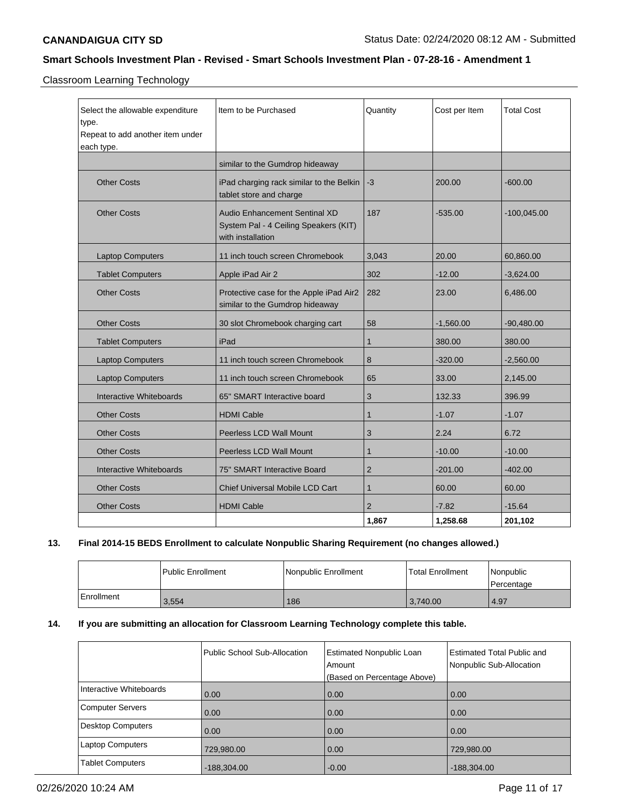Classroom Learning Technology

| Select the allowable expenditure<br>type.<br>Repeat to add another item under<br>each type. | Item to be Purchased                                                                        | Quantity       | Cost per Item | <b>Total Cost</b> |
|---------------------------------------------------------------------------------------------|---------------------------------------------------------------------------------------------|----------------|---------------|-------------------|
|                                                                                             | similar to the Gumdrop hideaway                                                             |                |               |                   |
| <b>Other Costs</b>                                                                          | iPad charging rack similar to the Belkin<br>tablet store and charge                         | $-3$           | 200.00        | $-600.00$         |
| <b>Other Costs</b>                                                                          | Audio Enhancement Sentinal XD<br>System Pal - 4 Ceiling Speakers (KIT)<br>with installation | 187            | $-535.00$     | $-100,045.00$     |
| <b>Laptop Computers</b>                                                                     | 11 inch touch screen Chromebook                                                             | 3,043          | 20.00         | 60,860.00         |
| <b>Tablet Computers</b>                                                                     | Apple iPad Air 2                                                                            | 302            | $-12.00$      | $-3,624.00$       |
| <b>Other Costs</b>                                                                          | Protective case for the Apple iPad Air2<br>similar to the Gumdrop hideaway                  | 282            | 23.00         | 6,486.00          |
| <b>Other Costs</b>                                                                          | 30 slot Chromebook charging cart                                                            | 58             | $-1,560.00$   | $-90,480.00$      |
| <b>Tablet Computers</b>                                                                     | iPad                                                                                        | $\mathbf{1}$   | 380.00        | 380.00            |
| <b>Laptop Computers</b>                                                                     | 11 inch touch screen Chromebook                                                             | 8              | $-320.00$     | $-2,560.00$       |
| <b>Laptop Computers</b>                                                                     | 11 inch touch screen Chromebook                                                             | 65             | 33.00         | 2,145.00          |
| Interactive Whiteboards                                                                     | 65" SMART Interactive board                                                                 | 3              | 132.33        | 396.99            |
| <b>Other Costs</b>                                                                          | <b>HDMI Cable</b>                                                                           | 1              | $-1.07$       | $-1.07$           |
| <b>Other Costs</b>                                                                          | Peerless LCD Wall Mount                                                                     | 3              | 2.24          | 6.72              |
| <b>Other Costs</b>                                                                          | Peerless LCD Wall Mount                                                                     | $\mathbf{1}$   | $-10.00$      | $-10.00$          |
| Interactive Whiteboards                                                                     | 75" SMART Interactive Board                                                                 | $\overline{2}$ | $-201.00$     | $-402.00$         |
| <b>Other Costs</b>                                                                          | Chief Universal Mobile LCD Cart                                                             | $\mathbf{1}$   | 60.00         | 60.00             |
| <b>Other Costs</b>                                                                          | <b>HDMI Cable</b>                                                                           | $\overline{2}$ | $-7.82$       | $-15.64$          |
|                                                                                             |                                                                                             | 1,867          | 1,258.68      | 201,102           |

## **13. Final 2014-15 BEDS Enrollment to calculate Nonpublic Sharing Requirement (no changes allowed.)**

|            | Public Enrollment | Nonpublic Enrollment | <b>Total Enrollment</b> | Nonpublic<br>Percentage |
|------------|-------------------|----------------------|-------------------------|-------------------------|
| Enrollment | 3,554             | 186                  | 3,740.00                | 4.97                    |

## **14. If you are submitting an allocation for Classroom Learning Technology complete this table.**

|                          | <b>Public School Sub-Allocation</b> | <b>Estimated Nonpublic Loan</b><br>Amount<br>(Based on Percentage Above) | <b>Estimated Total Public and</b><br>Nonpublic Sub-Allocation |
|--------------------------|-------------------------------------|--------------------------------------------------------------------------|---------------------------------------------------------------|
| Interactive Whiteboards  | 0.00                                | 0.00                                                                     | 0.00                                                          |
| Computer Servers         | 0.00                                | 0.00                                                                     | 0.00                                                          |
| <b>Desktop Computers</b> | 0.00                                | 0.00                                                                     | 0.00                                                          |
| <b>Laptop Computers</b>  | 729,980.00                          | 0.00                                                                     | 729,980.00                                                    |
| <b>Tablet Computers</b>  | $-188,304.00$                       | $-0.00$                                                                  | $-188,304.00$                                                 |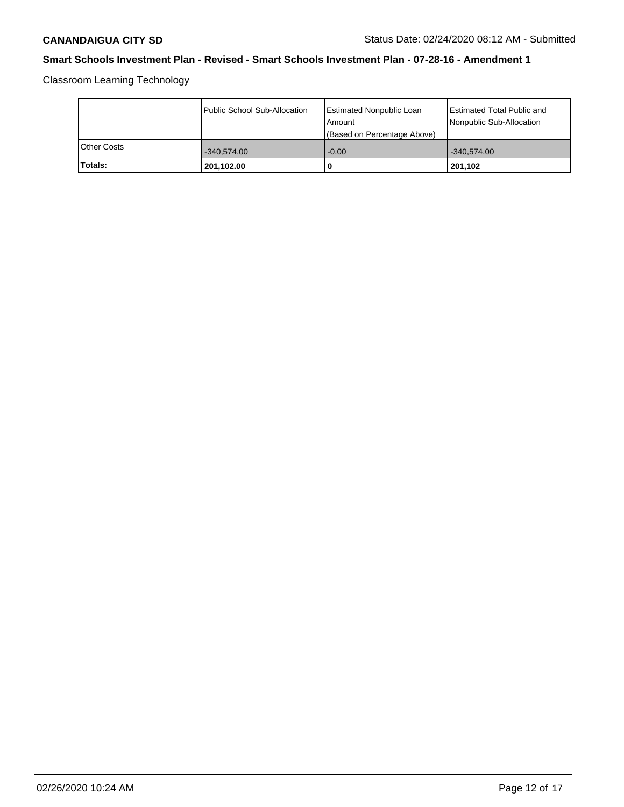Classroom Learning Technology

|             | Public School Sub-Allocation | Estimated Nonpublic Loan<br>l Amount<br>(Based on Percentage Above) | Estimated Total Public and<br>Nonpublic Sub-Allocation |
|-------------|------------------------------|---------------------------------------------------------------------|--------------------------------------------------------|
| Other Costs | $-340.574.00$                | $-0.00$                                                             | $-340.574.00$                                          |
| Totals:     | 201,102.00                   | 0                                                                   | 201,102                                                |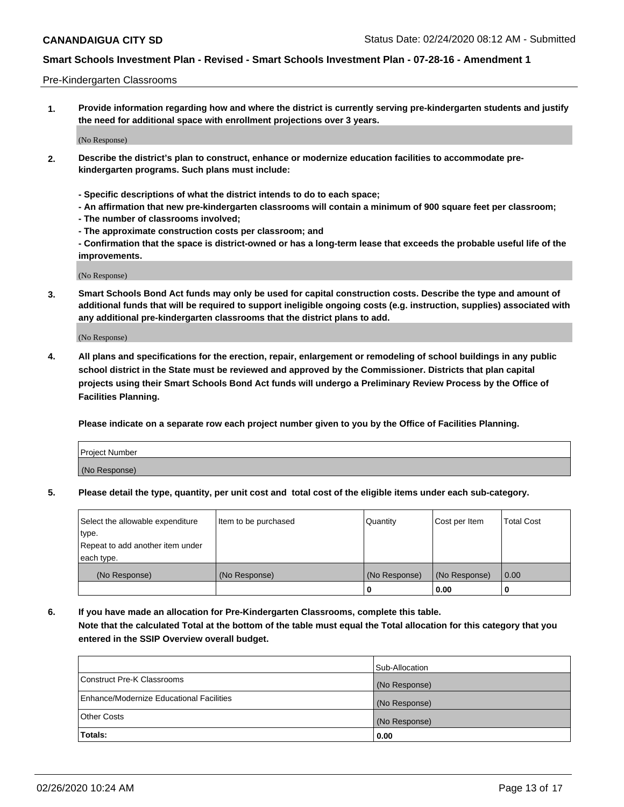#### Pre-Kindergarten Classrooms

**1. Provide information regarding how and where the district is currently serving pre-kindergarten students and justify the need for additional space with enrollment projections over 3 years.**

(No Response)

- **2. Describe the district's plan to construct, enhance or modernize education facilities to accommodate prekindergarten programs. Such plans must include:**
	- **Specific descriptions of what the district intends to do to each space;**
	- **An affirmation that new pre-kindergarten classrooms will contain a minimum of 900 square feet per classroom;**
	- **The number of classrooms involved;**
	- **The approximate construction costs per classroom; and**
	- **Confirmation that the space is district-owned or has a long-term lease that exceeds the probable useful life of the improvements.**

(No Response)

**3. Smart Schools Bond Act funds may only be used for capital construction costs. Describe the type and amount of additional funds that will be required to support ineligible ongoing costs (e.g. instruction, supplies) associated with any additional pre-kindergarten classrooms that the district plans to add.**

(No Response)

**4. All plans and specifications for the erection, repair, enlargement or remodeling of school buildings in any public school district in the State must be reviewed and approved by the Commissioner. Districts that plan capital projects using their Smart Schools Bond Act funds will undergo a Preliminary Review Process by the Office of Facilities Planning.**

**Please indicate on a separate row each project number given to you by the Office of Facilities Planning.**

| Project Number |  |
|----------------|--|
| (No Response)  |  |
|                |  |

**5. Please detail the type, quantity, per unit cost and total cost of the eligible items under each sub-category.**

| Select the allowable expenditure | Item to be purchased | Quantity      | Cost per Item | <b>Total Cost</b> |
|----------------------------------|----------------------|---------------|---------------|-------------------|
| type.                            |                      |               |               |                   |
| Repeat to add another item under |                      |               |               |                   |
| each type.                       |                      |               |               |                   |
| (No Response)                    | (No Response)        | (No Response) | (No Response) | 0.00              |
|                                  |                      | U             | 0.00          |                   |

**6. If you have made an allocation for Pre-Kindergarten Classrooms, complete this table. Note that the calculated Total at the bottom of the table must equal the Total allocation for this category that you entered in the SSIP Overview overall budget.**

|                                          | Sub-Allocation |
|------------------------------------------|----------------|
| Construct Pre-K Classrooms               | (No Response)  |
| Enhance/Modernize Educational Facilities | (No Response)  |
| <b>Other Costs</b>                       | (No Response)  |
| Totals:                                  | 0.00           |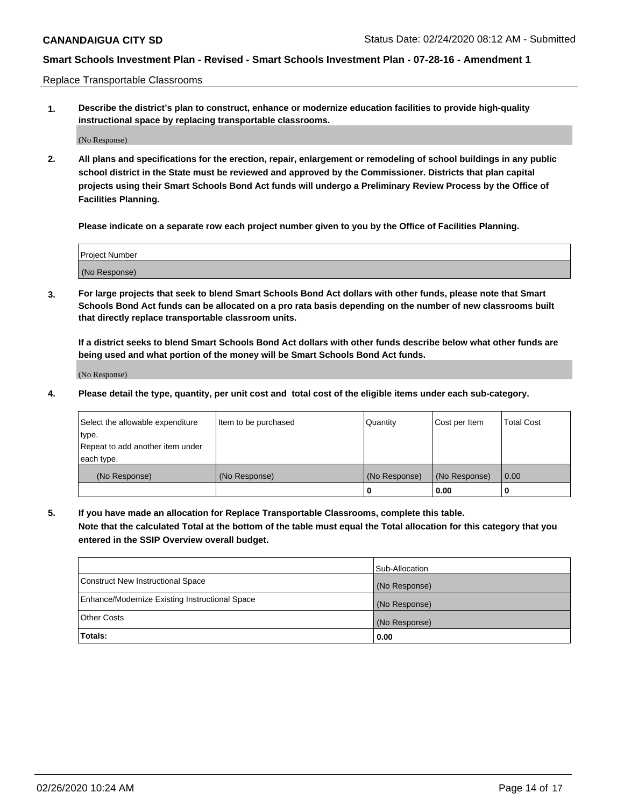Replace Transportable Classrooms

**1. Describe the district's plan to construct, enhance or modernize education facilities to provide high-quality instructional space by replacing transportable classrooms.**

(No Response)

**2. All plans and specifications for the erection, repair, enlargement or remodeling of school buildings in any public school district in the State must be reviewed and approved by the Commissioner. Districts that plan capital projects using their Smart Schools Bond Act funds will undergo a Preliminary Review Process by the Office of Facilities Planning.**

**Please indicate on a separate row each project number given to you by the Office of Facilities Planning.**

| Project Number |  |
|----------------|--|
|                |  |
|                |  |
|                |  |
|                |  |
| (No Response)  |  |
|                |  |
|                |  |
|                |  |

**3. For large projects that seek to blend Smart Schools Bond Act dollars with other funds, please note that Smart Schools Bond Act funds can be allocated on a pro rata basis depending on the number of new classrooms built that directly replace transportable classroom units.**

**If a district seeks to blend Smart Schools Bond Act dollars with other funds describe below what other funds are being used and what portion of the money will be Smart Schools Bond Act funds.**

(No Response)

**4. Please detail the type, quantity, per unit cost and total cost of the eligible items under each sub-category.**

| Select the allowable expenditure | Item to be purchased | Quantity      | Cost per Item | Total Cost |
|----------------------------------|----------------------|---------------|---------------|------------|
| ∣type.                           |                      |               |               |            |
| Repeat to add another item under |                      |               |               |            |
| each type.                       |                      |               |               |            |
| (No Response)                    | (No Response)        | (No Response) | (No Response) | 0.00       |
|                                  |                      | u             | 0.00          |            |

**5. If you have made an allocation for Replace Transportable Classrooms, complete this table. Note that the calculated Total at the bottom of the table must equal the Total allocation for this category that you entered in the SSIP Overview overall budget.**

|                                                | Sub-Allocation |
|------------------------------------------------|----------------|
| Construct New Instructional Space              | (No Response)  |
| Enhance/Modernize Existing Instructional Space | (No Response)  |
| Other Costs                                    | (No Response)  |
| Totals:                                        | 0.00           |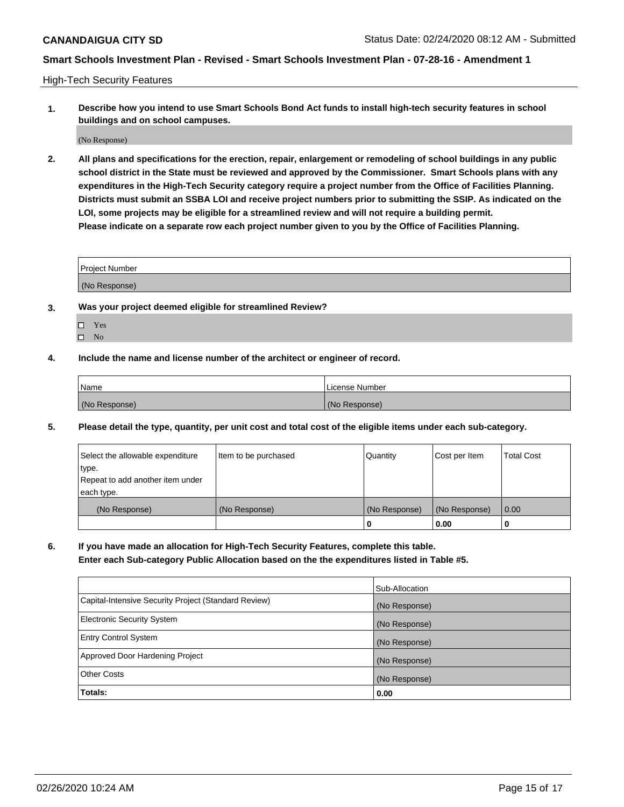High-Tech Security Features

**1. Describe how you intend to use Smart Schools Bond Act funds to install high-tech security features in school buildings and on school campuses.**

(No Response)

**2. All plans and specifications for the erection, repair, enlargement or remodeling of school buildings in any public school district in the State must be reviewed and approved by the Commissioner. Smart Schools plans with any expenditures in the High-Tech Security category require a project number from the Office of Facilities Planning. Districts must submit an SSBA LOI and receive project numbers prior to submitting the SSIP. As indicated on the LOI, some projects may be eligible for a streamlined review and will not require a building permit. Please indicate on a separate row each project number given to you by the Office of Facilities Planning.**

| <b>Project Number</b> |  |
|-----------------------|--|
|                       |  |
| (No Response)         |  |

- **3. Was your project deemed eligible for streamlined Review?**
	- Yes
	- $\hfill \square$  No
- **4. Include the name and license number of the architect or engineer of record.**

| Name          | License Number |
|---------------|----------------|
| (No Response) | (No Response)  |

**5. Please detail the type, quantity, per unit cost and total cost of the eligible items under each sub-category.**

| Select the allowable expenditure | Item to be purchased | Quantity      | Cost per Item | <b>Total Cost</b> |
|----------------------------------|----------------------|---------------|---------------|-------------------|
| 'type.                           |                      |               |               |                   |
| Repeat to add another item under |                      |               |               |                   |
| each type.                       |                      |               |               |                   |
| (No Response)                    | (No Response)        | (No Response) | (No Response) | 0.00              |
|                                  |                      | U             | 0.00          |                   |

**6. If you have made an allocation for High-Tech Security Features, complete this table.**

**Enter each Sub-category Public Allocation based on the the expenditures listed in Table #5.**

|                                                      | Sub-Allocation |
|------------------------------------------------------|----------------|
| Capital-Intensive Security Project (Standard Review) | (No Response)  |
| <b>Electronic Security System</b>                    | (No Response)  |
| <b>Entry Control System</b>                          | (No Response)  |
| Approved Door Hardening Project                      | (No Response)  |
| <b>Other Costs</b>                                   | (No Response)  |
| Totals:                                              | 0.00           |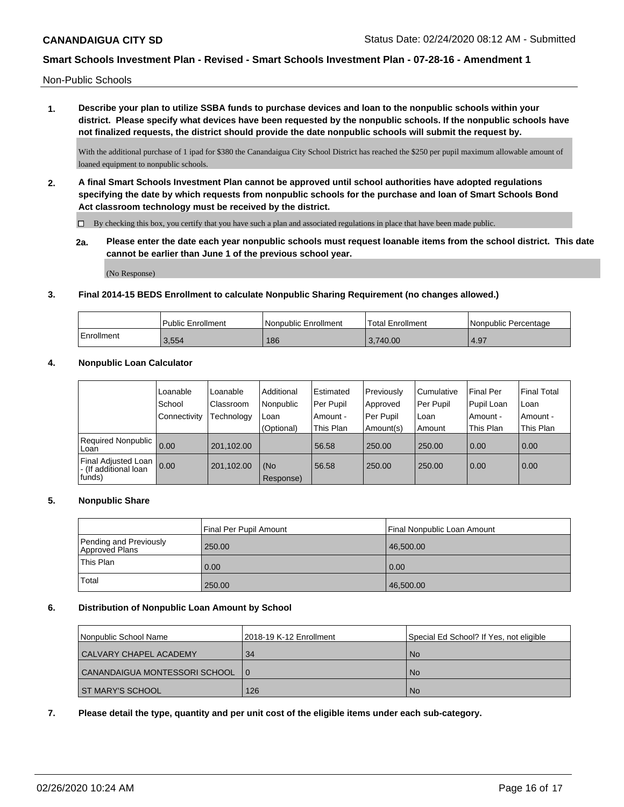Non-Public Schools

**1. Describe your plan to utilize SSBA funds to purchase devices and loan to the nonpublic schools within your district. Please specify what devices have been requested by the nonpublic schools. If the nonpublic schools have not finalized requests, the district should provide the date nonpublic schools will submit the request by.**

With the additional purchase of 1 ipad for \$380 the Canandaigua City School District has reached the \$250 per pupil maximum allowable amount of loaned equipment to nonpublic schools.

**2. A final Smart Schools Investment Plan cannot be approved until school authorities have adopted regulations specifying the date by which requests from nonpublic schools for the purchase and loan of Smart Schools Bond Act classroom technology must be received by the district.**

 $\Box$  By checking this box, you certify that you have such a plan and associated regulations in place that have been made public.

**2a. Please enter the date each year nonpublic schools must request loanable items from the school district. This date cannot be earlier than June 1 of the previous school year.**

(No Response)

#### **3. Final 2014-15 BEDS Enrollment to calculate Nonpublic Sharing Requirement (no changes allowed.)**

|            | Public Enrollment | l Nonpublic Enrollment | 'Total Enrollment | I Nonpublic Percentage |
|------------|-------------------|------------------------|-------------------|------------------------|
| Enrollment | 3.554             | 186                    | 3.740.00          | 4.97                   |

#### **4. Nonpublic Loan Calculator**

|                                                          | Loanable     | Loanable   | Additional       | Estimated | Previously | Cumulative | <b>Final Per</b> | Final Total |
|----------------------------------------------------------|--------------|------------|------------------|-----------|------------|------------|------------------|-------------|
|                                                          | School       | Classroom  | Nonpublic        | Per Pupil | Approved   | Per Pupil  | Pupil Loan       | ∣Loan       |
|                                                          | Connectivity | Technology | Loan             | Amount -  | Per Pupil  | Loan       | Amount -         | Amount -    |
|                                                          |              |            | (Optional)       | This Plan | Amount(s)  | Amount     | This Plan        | This Plan   |
| <b>Required Nonpublic</b><br>Loan                        | 0.00         | 201.102.00 |                  | 56.58     | 250.00     | 250.00     | 0.00             | 0.00        |
| Final Adjusted Loan<br>I - (If additional loan<br>funds) | 0.00         | 201,102.00 | (No<br>Response) | 56.58     | 250.00     | 250.00     | 0.00             | 0.00        |

#### **5. Nonpublic Share**

|                                          | Final Per Pupil Amount | Final Nonpublic Loan Amount |
|------------------------------------------|------------------------|-----------------------------|
| Pending and Previously<br>Approved Plans | 250.00                 | 46,500.00                   |
| <sup>1</sup> This Plan                   | 0.00                   | 0.00                        |
| Total                                    | 250.00                 | 46,500.00                   |

#### **6. Distribution of Nonpublic Loan Amount by School**

| l Nonpublic School Name       | l 2018-19 K-12 Enrollment | Special Ed School? If Yes, not eligible |  |  |
|-------------------------------|---------------------------|-----------------------------------------|--|--|
| CALVARY CHAPEL ACADEMY        | 34                        | l No                                    |  |  |
| CANANDAIGUA MONTESSORI SCHOOL | $\overline{0}$            | No.                                     |  |  |
| I ST MARY'S SCHOOL I          | 126                       | No.                                     |  |  |

**7. Please detail the type, quantity and per unit cost of the eligible items under each sub-category.**